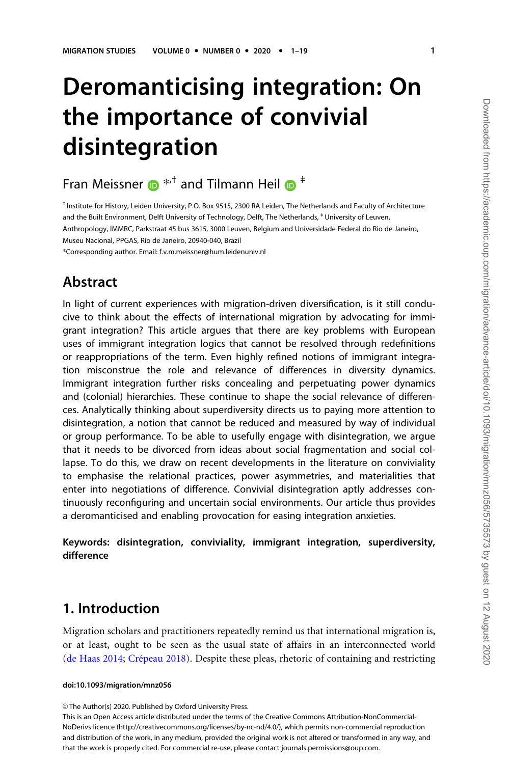# Deromanticising integration: On the importance of convivial disintegration

### Fran Meissner  $\mathbf{D}^{*+}$  and Tilmann Heil  $\mathbf{D}^{\dagger}$

† Institute for History, Leiden University, P.O. Box 9515, 2300 RA Leiden, The Netherlands and Faculty of Architecture and the Built Environment, Delft University of Technology, Delft, The Netherlands, <sup>‡</sup> University of Leuven, Anthropology, IMMRC, Parkstraat 45 bus 3615, 3000 Leuven, Belgium and Universidade Federal do Rio de Janeiro, Museu Nacional, PPGAS, Rio de Janeiro, 20940-040, Brazil \*Corresponding author. Email: f.v.m.meissner@hum.leidenuniv.nl

### Abstract

In light of current experiences with migration-driven diversification, is it still conducive to think about the effects of international migration by advocating for immigrant integration? This article argues that there are key problems with European uses of immigrant integration logics that cannot be resolved through redefinitions or reappropriations of the term. Even highly refined notions of immigrant integration misconstrue the role and relevance of differences in diversity dynamics. Immigrant integration further risks concealing and perpetuating power dynamics and (colonial) hierarchies. These continue to shape the social relevance of differences. Analytically thinking about superdiversity directs us to paying more attention to disintegration, a notion that cannot be reduced and measured by way of individual or group performance. To be able to usefully engage with disintegration, we argue that it needs to be divorced from ideas about social fragmentation and social collapse. To do this, we draw on recent developments in the literature on conviviality to emphasise the relational practices, power asymmetries, and materialities that enter into negotiations of difference. Convivial disintegration aptly addresses continuously reconfiguring and uncertain social environments. Our article thus provides a deromanticised and enabling provocation for easing integration anxieties.

### Keywords: disintegration, conviviality, immigrant integration, superdiversity, difference

### 1. Introduction

Migration scholars and practitioners repeatedly remind us that international migration is, or at least, ought to be seen as the usual state of affairs in an interconnected world ([de Haas 2014;](#page-15-0) Crépeau 2018). Despite these pleas, rhetoric of containing and restricting

### doi:10.1093/migration/mnz056

This is an Open Access article distributed under the terms of the Creative Commons Attribution-NonCommercial-NoDerivs licence (http://creativecommons.org/licenses/by-nc-nd/4.0/), which permits non-commercial reproduction and distribution of the work, in any medium, provided the original work is not altered or transformed in any way, and that the work is properly cited. For commercial re-use, please contact journals.permissions@oup.com.

<sup>©</sup> The Author(s) 2020. Published by Oxford University Press.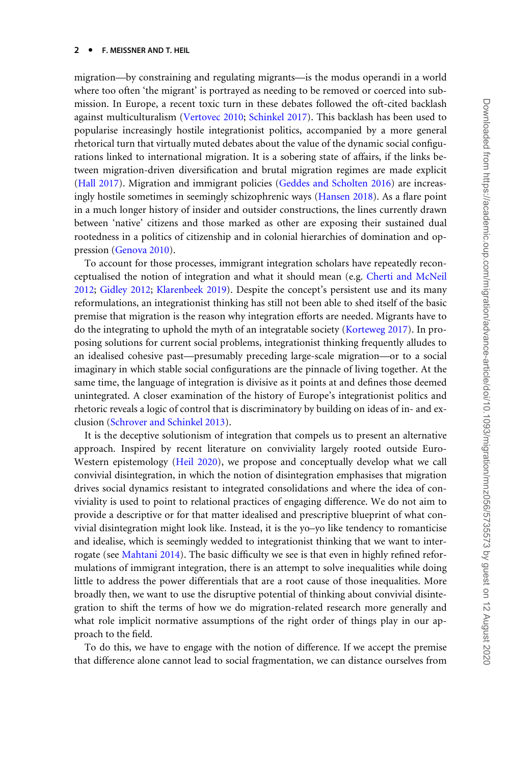#### $2<sup>-1</sup>$ F. MEISSNER AND T. HEIL

migration—by constraining and regulating migrants—is the modus operandi in a world where too often 'the migrant' is portrayed as needing to be removed or coerced into submission. In Europe, a recent toxic turn in these debates followed the oft-cited backlash against multiculturalism [\(Vertovec 2010](#page-18-0); [Schinkel 2017\)](#page-17-0). This backlash has been used to popularise increasingly hostile integrationist politics, accompanied by a more general rhetorical turn that virtually muted debates about the value of the dynamic social configurations linked to international migration. It is a sobering state of affairs, if the links between migration-driven diversification and brutal migration regimes are made explicit ([Hall 2017](#page-16-0)). Migration and immigrant policies [\(Geddes and Scholten 2016](#page-15-0)) are increasingly hostile sometimes in seemingly schizophrenic ways [\(Hansen 2018\)](#page-16-0). As a flare point in a much longer history of insider and outsider constructions, the lines currently drawn between 'native' citizens and those marked as other are exposing their sustained dual rootedness in a politics of citizenship and in colonial hierarchies of domination and oppression ([Genova 2010\)](#page-15-0).

To account for those processes, immigrant integration scholars have repeatedly reconceptualised the notion of integration and what it should mean (e.g. [Cherti and McNeil](#page-15-0) [2012;](#page-15-0) [Gidley 2012;](#page-16-0) [Klarenbeek 2019\)](#page-16-0). Despite the concept's persistent use and its many reformulations, an integrationist thinking has still not been able to shed itself of the basic premise that migration is the reason why integration efforts are needed. Migrants have to do the integrating to uphold the myth of an integratable society ([Korteweg 2017\)](#page-16-0). In proposing solutions for current social problems, integrationist thinking frequently alludes to an idealised cohesive past—presumably preceding large-scale migration—or to a social imaginary in which stable social configurations are the pinnacle of living together. At the same time, the language of integration is divisive as it points at and defines those deemed unintegrated. A closer examination of the history of Europe's integrationist politics and rhetoric reveals a logic of control that is discriminatory by building on ideas of in- and exclusion ([Schrover and Schinkel 2013](#page-18-0)).

It is the deceptive solutionism of integration that compels us to present an alternative approach. Inspired by recent literature on conviviality largely rooted outside Euro-Western epistemology ([Heil 2020\)](#page-16-0), we propose and conceptually develop what we call convivial disintegration, in which the notion of disintegration emphasises that migration drives social dynamics resistant to integrated consolidations and where the idea of conviviality is used to point to relational practices of engaging difference. We do not aim to provide a descriptive or for that matter idealised and prescriptive blueprint of what convivial disintegration might look like. Instead, it is the yo–yo like tendency to romanticise and idealise, which is seemingly wedded to integrationist thinking that we want to interrogate (see [Mahtani 2014](#page-17-0)). The basic difficulty we see is that even in highly refined reformulations of immigrant integration, there is an attempt to solve inequalities while doing little to address the power differentials that are a root cause of those inequalities. More broadly then, we want to use the disruptive potential of thinking about convivial disintegration to shift the terms of how we do migration-related research more generally and what role implicit normative assumptions of the right order of things play in our approach to the field.

To do this, we have to engage with the notion of difference. If we accept the premise that difference alone cannot lead to social fragmentation, we can distance ourselves from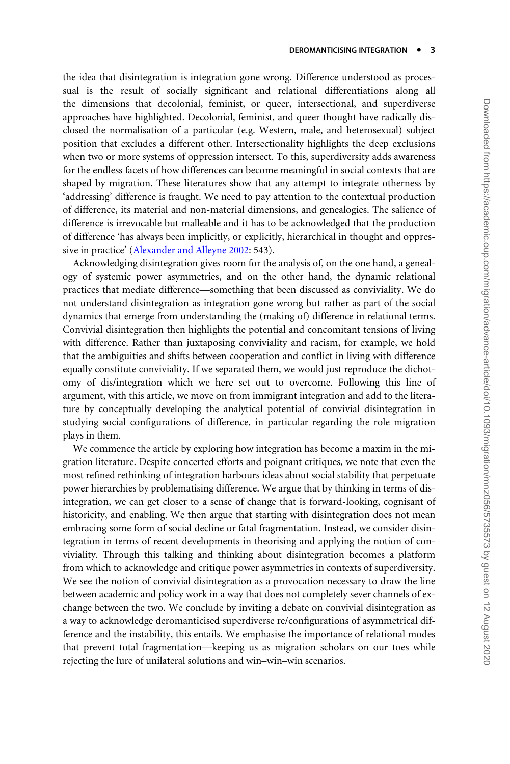#### DEROMANTICISING INTEGRATION 3

the idea that disintegration is integration gone wrong. Difference understood as processual is the result of socially significant and relational differentiations along all the dimensions that decolonial, feminist, or queer, intersectional, and superdiverse approaches have highlighted. Decolonial, feminist, and queer thought have radically disclosed the normalisation of a particular (e.g. Western, male, and heterosexual) subject position that excludes a different other. Intersectionality highlights the deep exclusions when two or more systems of oppression intersect. To this, superdiversity adds awareness for the endless facets of how differences can become meaningful in social contexts that are shaped by migration. These literatures show that any attempt to integrate otherness by 'addressing' difference is fraught. We need to pay attention to the contextual production of difference, its material and non-material dimensions, and genealogies. The salience of difference is irrevocable but malleable and it has to be acknowledged that the production of difference 'has always been implicitly, or explicitly, hierarchical in thought and oppressive in practice' ([Alexander and Alleyne 2002:](#page-14-0) 543).

Acknowledging disintegration gives room for the analysis of, on the one hand, a genealogy of systemic power asymmetries, and on the other hand, the dynamic relational practices that mediate difference—something that been discussed as conviviality. We do not understand disintegration as integration gone wrong but rather as part of the social dynamics that emerge from understanding the (making of) difference in relational terms. Convivial disintegration then highlights the potential and concomitant tensions of living with difference. Rather than juxtaposing conviviality and racism, for example, we hold that the ambiguities and shifts between cooperation and conflict in living with difference equally constitute conviviality. If we separated them, we would just reproduce the dichotomy of dis/integration which we here set out to overcome. Following this line of argument, with this article, we move on from immigrant integration and add to the literature by conceptually developing the analytical potential of convivial disintegration in studying social configurations of difference, in particular regarding the role migration plays in them.

We commence the article by exploring how integration has become a maxim in the migration literature. Despite concerted efforts and poignant critiques, we note that even the most refined rethinking of integration harbours ideas about social stability that perpetuate power hierarchies by problematising difference. We argue that by thinking in terms of disintegration, we can get closer to a sense of change that is forward-looking, cognisant of historicity, and enabling. We then argue that starting with disintegration does not mean embracing some form of social decline or fatal fragmentation. Instead, we consider disintegration in terms of recent developments in theorising and applying the notion of conviviality. Through this talking and thinking about disintegration becomes a platform from which to acknowledge and critique power asymmetries in contexts of superdiversity. We see the notion of convivial disintegration as a provocation necessary to draw the line between academic and policy work in a way that does not completely sever channels of exchange between the two. We conclude by inviting a debate on convivial disintegration as a way to acknowledge deromanticised superdiverse re/configurations of asymmetrical difference and the instability, this entails. We emphasise the importance of relational modes that prevent total fragmentation—keeping us as migration scholars on our toes while rejecting the lure of unilateral solutions and win–win–win scenarios.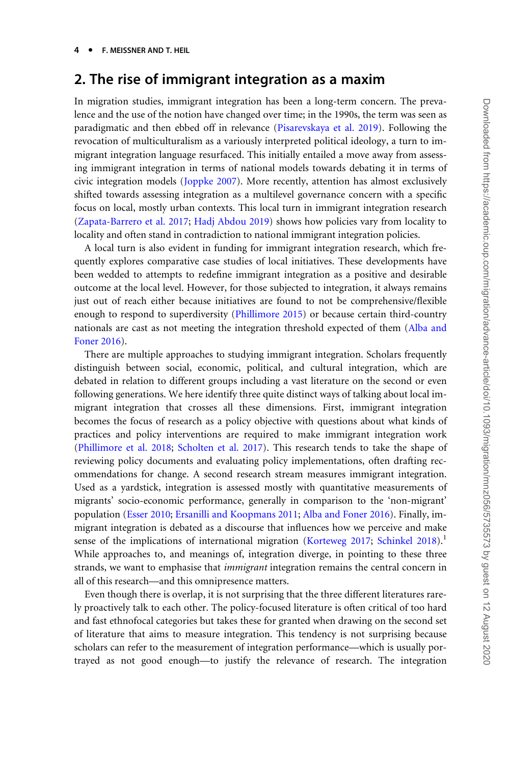### 2. The rise of immigrant integration as a maxim

In migration studies, immigrant integration has been a long-term concern. The prevalence and the use of the notion have changed over time; in the 1990s, the term was seen as paradigmatic and then ebbed off in relevance ([Pisarevskaya et al. 2019](#page-17-0)). Following the revocation of multiculturalism as a variously interpreted political ideology, a turn to immigrant integration language resurfaced. This initially entailed a move away from assessing immigrant integration in terms of national models towards debating it in terms of civic integration models ([Joppke 2007](#page-16-0)). More recently, attention has almost exclusively shifted towards assessing integration as a multilevel governance concern with a specific focus on local, mostly urban contexts. This local turn in immigrant integration research ([Zapata-Barrero et al. 2017;](#page-18-0) [Hadj Abdou 2019\)](#page-16-0) shows how policies vary from locality to locality and often stand in contradiction to national immigrant integration policies.

A local turn is also evident in funding for immigrant integration research, which frequently explores comparative case studies of local initiatives. These developments have been wedded to attempts to redefine immigrant integration as a positive and desirable outcome at the local level. However, for those subjected to integration, it always remains just out of reach either because initiatives are found to not be comprehensive/flexible enough to respond to superdiversity [\(Phillimore 2015\)](#page-17-0) or because certain third-country nationals are cast as not meeting the integration threshold expected of them ([Alba and](#page-14-0) [Foner 2016\)](#page-14-0).

There are multiple approaches to studying immigrant integration. Scholars frequently distinguish between social, economic, political, and cultural integration, which are debated in relation to different groups including a vast literature on the second or even following generations. We here identify three quite distinct ways of talking about local immigrant integration that crosses all these dimensions. First, immigrant integration becomes the focus of research as a policy objective with questions about what kinds of practices and policy interventions are required to make immigrant integration work ([Phillimore et al. 2018;](#page-17-0) [Scholten et al. 2017](#page-17-0)). This research tends to take the shape of reviewing policy documents and evaluating policy implementations, often drafting recommendations for change. A second research stream measures immigrant integration. Used as a yardstick, integration is assessed mostly with quantitative measurements of migrants' socio-economic performance, generally in comparison to the 'non-migrant' population [\(Esser 2010;](#page-15-0) [Ersanilli and Koopmans 2011;](#page-15-0) [Alba and Foner 2016](#page-14-0)). Finally, immigrant integration is debated as a discourse that influences how we perceive and make sense of the implications of international migration [\(Korteweg 2017;](#page-16-0) [Schinkel 2018\)](#page-17-0).<sup>1</sup> While approaches to, and meanings of, integration diverge, in pointing to these three strands, we want to emphasise that *immigrant* integration remains the central concern in all of this research—and this omnipresence matters.

Even though there is overlap, it is not surprising that the three different literatures rarely proactively talk to each other. The policy-focused literature is often critical of too hard and fast ethnofocal categories but takes these for granted when drawing on the second set of literature that aims to measure integration. This tendency is not surprising because scholars can refer to the measurement of integration performance—which is usually portrayed as not good enough—to justify the relevance of research. The integration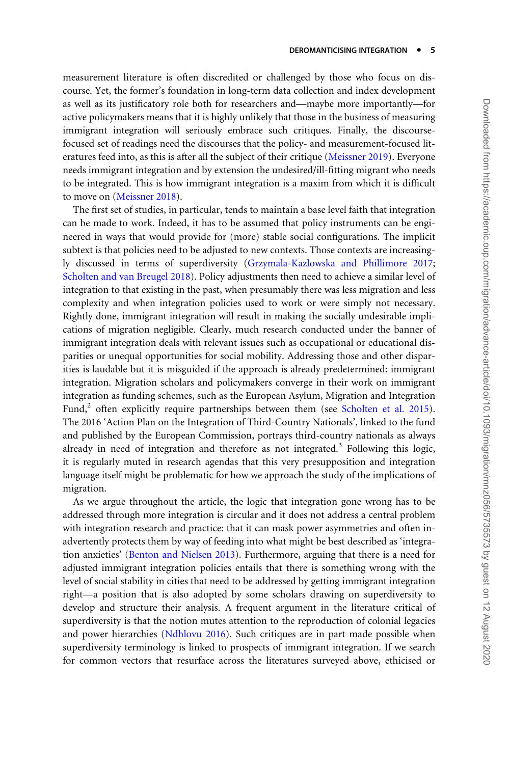measurement literature is often discredited or challenged by those who focus on discourse. Yet, the former's foundation in long-term data collection and index development as well as its justificatory role both for researchers and—maybe more importantly—for active policymakers means that it is highly unlikely that those in the business of measuring immigrant integration will seriously embrace such critiques. Finally, the discoursefocused set of readings need the discourses that the policy- and measurement-focused literatures feed into, as this is after all the subject of their critique ([Meissner 2019\)](#page-17-0). Everyone needs immigrant integration and by extension the undesired/ill-fitting migrant who needs to be integrated. This is how immigrant integration is a maxim from which it is difficult to move on [\(Meissner 2018\)](#page-17-0).

The first set of studies, in particular, tends to maintain a base level faith that integration can be made to work. Indeed, it has to be assumed that policy instruments can be engineered in ways that would provide for (more) stable social configurations. The implicit subtext is that policies need to be adjusted to new contexts. Those contexts are increasingly discussed in terms of superdiversity ([Grzymala-Kazlowska and Phillimore 2017;](#page-16-0) [Scholten and van Breugel 2018](#page-18-0)). Policy adjustments then need to achieve a similar level of integration to that existing in the past, when presumably there was less migration and less complexity and when integration policies used to work or were simply not necessary. Rightly done, immigrant integration will result in making the socially undesirable implications of migration negligible. Clearly, much research conducted under the banner of immigrant integration deals with relevant issues such as occupational or educational disparities or unequal opportunities for social mobility. Addressing those and other disparities is laudable but it is misguided if the approach is already predetermined: immigrant integration. Migration scholars and policymakers converge in their work on immigrant integration as funding schemes, such as the European Asylum, Migration and Integration Fund, $^2$  often explicitly require partnerships between them (see [Scholten et al. 2015](#page-18-0)). The 2016 'Action Plan on the Integration of Third-Country Nationals', linked to the fund and published by the European Commission, portrays third-country nationals as always already in need of integration and therefore as not integrated.<sup>3</sup> Following this logic, it is regularly muted in research agendas that this very presupposition and integration language itself might be problematic for how we approach the study of the implications of migration.

As we argue throughout the article, the logic that integration gone wrong has to be addressed through more integration is circular and it does not address a central problem with integration research and practice: that it can mask power asymmetries and often inadvertently protects them by way of feeding into what might be best described as 'integration anxieties' ([Benton and Nielsen 2013\)](#page-15-0). Furthermore, arguing that there is a need for adjusted immigrant integration policies entails that there is something wrong with the level of social stability in cities that need to be addressed by getting immigrant integration right—a position that is also adopted by some scholars drawing on superdiversity to develop and structure their analysis. A frequent argument in the literature critical of superdiversity is that the notion mutes attention to the reproduction of colonial legacies and power hierarchies [\(Ndhlovu 2016\)](#page-17-0). Such critiques are in part made possible when superdiversity terminology is linked to prospects of immigrant integration. If we search for common vectors that resurface across the literatures surveyed above, ethicised or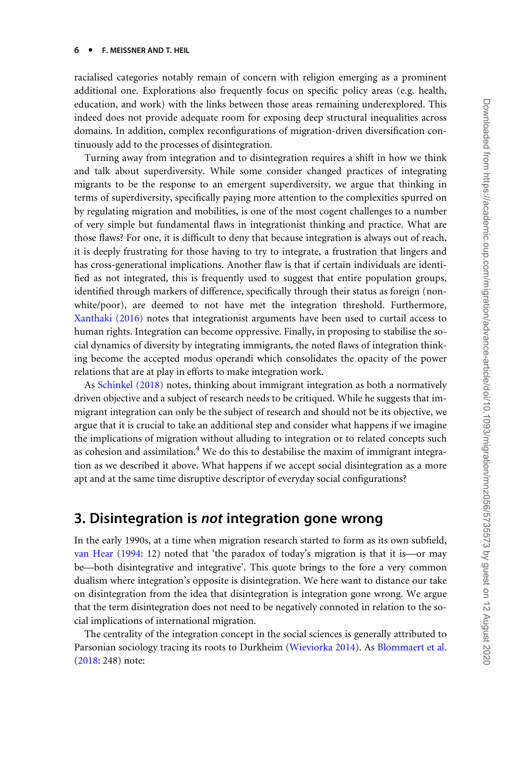#### 6 -F. MEISSNER AND T. HEIL

racialised categories notably remain of concern with religion emerging as a prominent additional one. Explorations also frequently focus on specific policy areas (e.g. health, education, and work) with the links between those areas remaining underexplored. This indeed does not provide adequate room for exposing deep structural inequalities across domains. In addition, complex reconfigurations of migration-driven diversification continuously add to the processes of disintegration.

Turning away from integration and to disintegration requires a shift in how we think and talk about superdiversity. While some consider changed practices of integrating migrants to be the response to an emergent superdiversity, we argue that thinking in terms of superdiversity, specifically paying more attention to the complexities spurred on by regulating migration and mobilities, is one of the most cogent challenges to a number of very simple but fundamental flaws in integrationist thinking and practice. What are those flaws? For one, it is difficult to deny that because integration is always out of reach, it is deeply frustrating for those having to try to integrate, a frustration that lingers and has cross-generational implications. Another flaw is that if certain individuals are identified as not integrated, this is frequently used to suggest that entire population groups, identified through markers of difference, specifically through their status as foreign (nonwhite/poor), are deemed to not have met the integration threshold. Furthermore, [Xanthaki \(2016\)](#page-18-0) notes that integrationist arguments have been used to curtail access to human rights. Integration can become oppressive. Finally, in proposing to stabilise the social dynamics of diversity by integrating immigrants, the noted flaws of integration thinking become the accepted modus operandi which consolidates the opacity of the power relations that are at play in efforts to make integration work.

As [Schinkel \(2018\)](#page-17-0) notes, thinking about immigrant integration as both a normatively driven objective and a subject of research needs to be critiqued. While he suggests that immigrant integration can only be the subject of research and should not be its objective, we argue that it is crucial to take an additional step and consider what happens if we imagine the implications of migration without alluding to integration or to related concepts such as cohesion and assimilation.<sup>4</sup> We do this to destabilise the maxim of immigrant integration as we described it above. What happens if we accept social disintegration as a more apt and at the same time disruptive descriptor of everyday social configurations?

## 3. Disintegration is not integration gone wrong

In the early 1990s, at a time when migration research started to form as its own subfield, [van Hear](#page-18-0) ([1994](#page-18-0): 12) noted that 'the paradox of today's migration is that it is—or may be—both disintegrative and integrative'. This quote brings to the fore a very common dualism where integration's opposite is disintegration. We here want to distance our take on disintegration from the idea that disintegration is integration gone wrong. We argue that the term disintegration does not need to be negatively connoted in relation to the social implications of international migration.

The centrality of the integration concept in the social sciences is generally attributed to Parsonian sociology tracing its roots to Durkheim [\(Wieviorka 2014](#page-18-0)). As [Blommaert et al.](#page-15-0) ([2018:](#page-15-0) 248) note: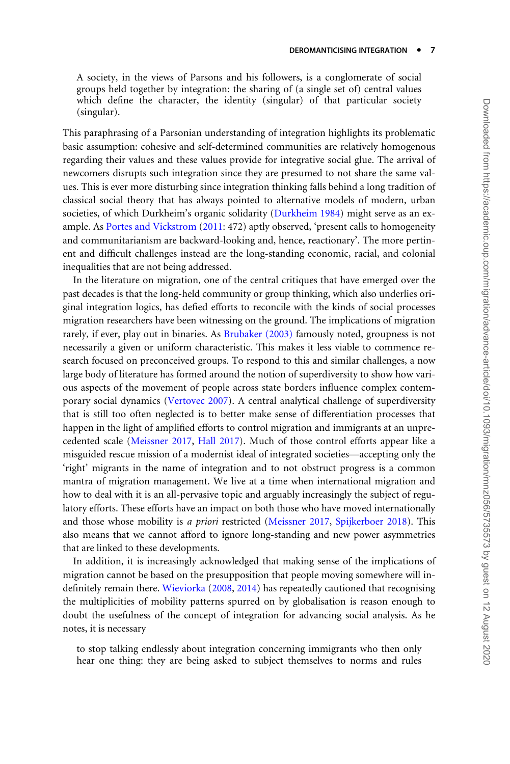#### DEROMANTICISING INTEGRATION 7

A society, in the views of Parsons and his followers, is a conglomerate of social groups held together by integration: the sharing of (a single set of) central values which define the character, the identity (singular) of that particular society (singular).

This paraphrasing of a Parsonian understanding of integration highlights its problematic basic assumption: cohesive and self-determined communities are relatively homogenous regarding their values and these values provide for integrative social glue. The arrival of newcomers disrupts such integration since they are presumed to not share the same values. This is ever more disturbing since integration thinking falls behind a long tradition of classical social theory that has always pointed to alternative models of modern, urban societies, of which Durkheim's organic solidarity ([Durkheim 1984](#page-15-0)) might serve as an example. As [Portes and Vickstrom](#page-17-0) [\(2011](#page-17-0): 472) aptly observed, 'present calls to homogeneity and communitarianism are backward-looking and, hence, reactionary'. The more pertinent and difficult challenges instead are the long-standing economic, racial, and colonial inequalities that are not being addressed.

In the literature on migration, one of the central critiques that have emerged over the past decades is that the long-held community or group thinking, which also underlies original integration logics, has defied efforts to reconcile with the kinds of social processes migration researchers have been witnessing on the ground. The implications of migration rarely, if ever, play out in binaries. As [Brubaker \(2003\)](#page-15-0) famously noted, groupness is not necessarily a given or uniform characteristic. This makes it less viable to commence research focused on preconceived groups. To respond to this and similar challenges, a now large body of literature has formed around the notion of superdiversity to show how various aspects of the movement of people across state borders influence complex contemporary social dynamics ([Vertovec 2007\)](#page-18-0). A central analytical challenge of superdiversity that is still too often neglected is to better make sense of differentiation processes that happen in the light of amplified efforts to control migration and immigrants at an unprecedented scale [\(Meissner 2017](#page-17-0), [Hall 2017\)](#page-16-0). Much of those control efforts appear like a misguided rescue mission of a modernist ideal of integrated societies—accepting only the 'right' migrants in the name of integration and to not obstruct progress is a common mantra of migration management. We live at a time when international migration and how to deal with it is an all-pervasive topic and arguably increasingly the subject of regulatory efforts. These efforts have an impact on both those who have moved internationally and those whose mobility is a priori restricted ([Meissner 2017,](#page-17-0) [Spijkerboer 2018](#page-18-0)). This also means that we cannot afford to ignore long-standing and new power asymmetries that are linked to these developments.

In addition, it is increasingly acknowledged that making sense of the implications of migration cannot be based on the presupposition that people moving somewhere will indefinitely remain there. [Wieviorka](#page-18-0) ([2008](#page-18-0), [2014\)](#page-18-0) has repeatedly cautioned that recognising the multiplicities of mobility patterns spurred on by globalisation is reason enough to doubt the usefulness of the concept of integration for advancing social analysis. As he notes, it is necessary

to stop talking endlessly about integration concerning immigrants who then only hear one thing: they are being asked to subject themselves to norms and rules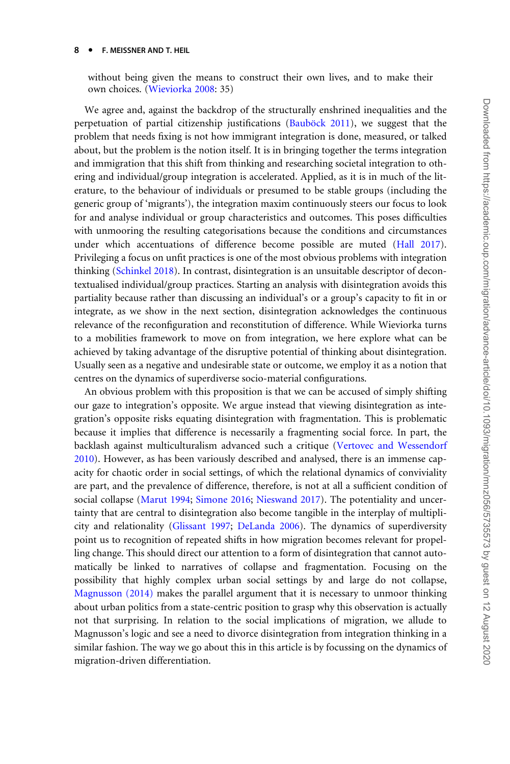#### $\mathbf{a}$ F. MEISSNER AND T. HEIL

without being given the means to construct their own lives, and to make their own choices. ([Wieviorka 2008](#page-18-0): 35)

We agree and, against the backdrop of the structurally enshrined inequalities and the perpetuation of partial citizenship justifications (Bauböck 2011), we suggest that the problem that needs fixing is not how immigrant integration is done, measured, or talked about, but the problem is the notion itself. It is in bringing together the terms integration and immigration that this shift from thinking and researching societal integration to othering and individual/group integration is accelerated. Applied, as it is in much of the literature, to the behaviour of individuals or presumed to be stable groups (including the generic group of 'migrants'), the integration maxim continuously steers our focus to look for and analyse individual or group characteristics and outcomes. This poses difficulties with unmooring the resulting categorisations because the conditions and circumstances under which accentuations of difference become possible are muted [\(Hall 2017](#page-16-0)). Privileging a focus on unfit practices is one of the most obvious problems with integration thinking ([Schinkel 2018\)](#page-17-0). In contrast, disintegration is an unsuitable descriptor of decontextualised individual/group practices. Starting an analysis with disintegration avoids this partiality because rather than discussing an individual's or a group's capacity to fit in or integrate, as we show in the next section, disintegration acknowledges the continuous relevance of the reconfiguration and reconstitution of difference. While Wieviorka turns to a mobilities framework to move on from integration, we here explore what can be achieved by taking advantage of the disruptive potential of thinking about disintegration. Usually seen as a negative and undesirable state or outcome, we employ it as a notion that centres on the dynamics of superdiverse socio-material configurations.

An obvious problem with this proposition is that we can be accused of simply shifting our gaze to integration's opposite. We argue instead that viewing disintegration as integration's opposite risks equating disintegration with fragmentation. This is problematic because it implies that difference is necessarily a fragmenting social force. In part, the backlash against multiculturalism advanced such a critique [\(Vertovec and Wessendorf](#page-18-0) [2010\)](#page-18-0). However, as has been variously described and analysed, there is an immense capacity for chaotic order in social settings, of which the relational dynamics of conviviality are part, and the prevalence of difference, therefore, is not at all a sufficient condition of social collapse [\(Marut 1994](#page-17-0); [Simone 2016](#page-18-0); [Nieswand 2017](#page-17-0)). The potentiality and uncertainty that are central to disintegration also become tangible in the interplay of multiplicity and relationality ([Glissant 1997;](#page-16-0) [DeLanda 2006\)](#page-15-0). The dynamics of superdiversity point us to recognition of repeated shifts in how migration becomes relevant for propelling change. This should direct our attention to a form of disintegration that cannot automatically be linked to narratives of collapse and fragmentation. Focusing on the possibility that highly complex urban social settings by and large do not collapse, [Magnusson \(2014\)](#page-16-0) makes the parallel argument that it is necessary to unmoor thinking about urban politics from a state-centric position to grasp why this observation is actually not that surprising. In relation to the social implications of migration, we allude to Magnusson's logic and see a need to divorce disintegration from integration thinking in a similar fashion. The way we go about this in this article is by focussing on the dynamics of migration-driven differentiation.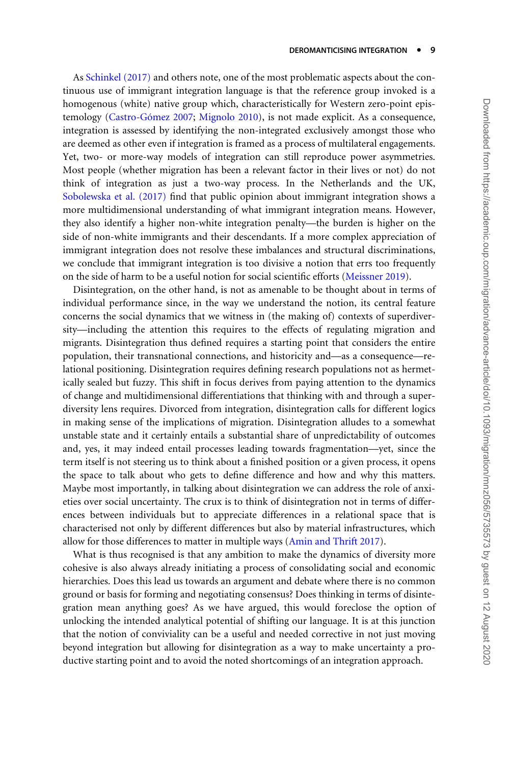As [Schinkel \(2017\)](#page-17-0) and others note, one of the most problematic aspects about the continuous use of immigrant integration language is that the reference group invoked is a homogenous (white) native group which, characteristically for Western zero-point epis-temology (Castro-Gómez 2007; [Mignolo 2010](#page-17-0)), is not made explicit. As a consequence, integration is assessed by identifying the non-integrated exclusively amongst those who are deemed as other even if integration is framed as a process of multilateral engagements. Yet, two- or more-way models of integration can still reproduce power asymmetries. Most people (whether migration has been a relevant factor in their lives or not) do not think of integration as just a two-way process. In the Netherlands and the UK, [Sobolewska et al. \(2017\)](#page-18-0) find that public opinion about immigrant integration shows a more multidimensional understanding of what immigrant integration means. However, they also identify a higher non-white integration penalty—the burden is higher on the side of non-white immigrants and their descendants. If a more complex appreciation of immigrant integration does not resolve these imbalances and structural discriminations, we conclude that immigrant integration is too divisive a notion that errs too frequently on the side of harm to be a useful notion for social scientific efforts ([Meissner 2019\)](#page-17-0).

Disintegration, on the other hand, is not as amenable to be thought about in terms of individual performance since, in the way we understand the notion, its central feature concerns the social dynamics that we witness in (the making of) contexts of superdiversity—including the attention this requires to the effects of regulating migration and migrants. Disintegration thus defined requires a starting point that considers the entire population, their transnational connections, and historicity and—as a consequence—relational positioning. Disintegration requires defining research populations not as hermetically sealed but fuzzy. This shift in focus derives from paying attention to the dynamics of change and multidimensional differentiations that thinking with and through a superdiversity lens requires. Divorced from integration, disintegration calls for different logics in making sense of the implications of migration. Disintegration alludes to a somewhat unstable state and it certainly entails a substantial share of unpredictability of outcomes and, yes, it may indeed entail processes leading towards fragmentation—yet, since the term itself is not steering us to think about a finished position or a given process, it opens the space to talk about who gets to define difference and how and why this matters. Maybe most importantly, in talking about disintegration we can address the role of anxieties over social uncertainty. The crux is to think of disintegration not in terms of differences between individuals but to appreciate differences in a relational space that is characterised not only by different differences but also by material infrastructures, which allow for those differences to matter in multiple ways ([Amin and Thrift 2017\)](#page-14-0).

What is thus recognised is that any ambition to make the dynamics of diversity more cohesive is also always already initiating a process of consolidating social and economic hierarchies. Does this lead us towards an argument and debate where there is no common ground or basis for forming and negotiating consensus? Does thinking in terms of disintegration mean anything goes? As we have argued, this would foreclose the option of unlocking the intended analytical potential of shifting our language. It is at this junction that the notion of conviviality can be a useful and needed corrective in not just moving beyond integration but allowing for disintegration as a way to make uncertainty a productive starting point and to avoid the noted shortcomings of an integration approach.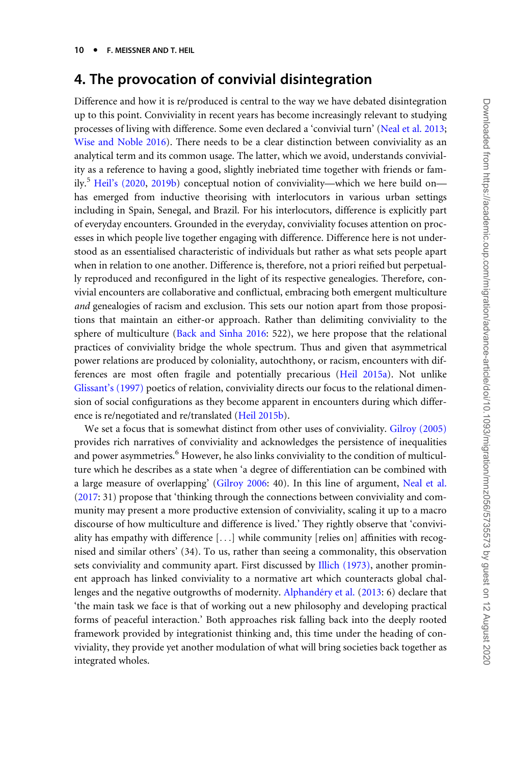### 4. The provocation of convivial disintegration

Difference and how it is re/produced is central to the way we have debated disintegration up to this point. Conviviality in recent years has become increasingly relevant to studying processes of living with difference. Some even declared a 'convivial turn' [\(Neal et al. 2013;](#page-17-0) [Wise and Noble 2016](#page-18-0)). There needs to be a clear distinction between conviviality as an analytical term and its common usage. The latter, which we avoid, understands conviviality as a reference to having a good, slightly inebriated time together with friends or fam-ily.<sup>5</sup> [Heil's \(2020](#page-16-0), [2019b](#page-16-0)) conceptual notion of conviviality—which we here build on has emerged from inductive theorising with interlocutors in various urban settings including in Spain, Senegal, and Brazil. For his interlocutors, difference is explicitly part of everyday encounters. Grounded in the everyday, conviviality focuses attention on processes in which people live together engaging with difference. Difference here is not understood as an essentialised characteristic of individuals but rather as what sets people apart when in relation to one another. Difference is, therefore, not a priori reified but perpetually reproduced and reconfigured in the light of its respective genealogies. Therefore, convivial encounters are collaborative and conflictual, embracing both emergent multiculture and genealogies of racism and exclusion. This sets our notion apart from those propositions that maintain an either-or approach. Rather than delimiting conviviality to the sphere of multiculture [\(Back and Sinha 2016](#page-14-0): 522), we here propose that the relational practices of conviviality bridge the whole spectrum. Thus and given that asymmetrical power relations are produced by coloniality, autochthony, or racism, encounters with differences are most often fragile and potentially precarious ([Heil 2015a](#page-16-0)). Not unlike [Glissant's \(1997\)](#page-16-0) poetics of relation, conviviality directs our focus to the relational dimension of social configurations as they become apparent in encounters during which difference is re/negotiated and re/translated ([Heil 2015b](#page-16-0)).

We set a focus that is somewhat distinct from other uses of conviviality. [Gilroy \(2005\)](#page-16-0) provides rich narratives of conviviality and acknowledges the persistence of inequalities and power asymmetries.<sup>6</sup> However, he also links conviviality to the condition of multiculture which he describes as a state when 'a degree of differentiation can be combined with a large measure of overlapping' [\(Gilroy 2006:](#page-16-0) 40). In this line of argument, [Neal et al.](#page-17-0) ([2017:](#page-17-0) 31) propose that 'thinking through the connections between conviviality and community may present a more productive extension of conviviality, scaling it up to a macro discourse of how multiculture and difference is lived.' They rightly observe that 'conviviality has empathy with difference [...] while community [relies on] affinities with recognised and similar others' (34). To us, rather than seeing a commonality, this observation sets conviviality and community apart. First discussed by [Illich \(1973\)](#page-16-0), another prominent approach has linked conviviality to a normative art which counteracts global chal-lenges and the negative outgrowths of modernity. Alphandéry et al. ([2013](#page-14-0): 6) declare that 'the main task we face is that of working out a new philosophy and developing practical forms of peaceful interaction.' Both approaches risk falling back into the deeply rooted framework provided by integrationist thinking and, this time under the heading of conviviality, they provide yet another modulation of what will bring societies back together as integrated wholes.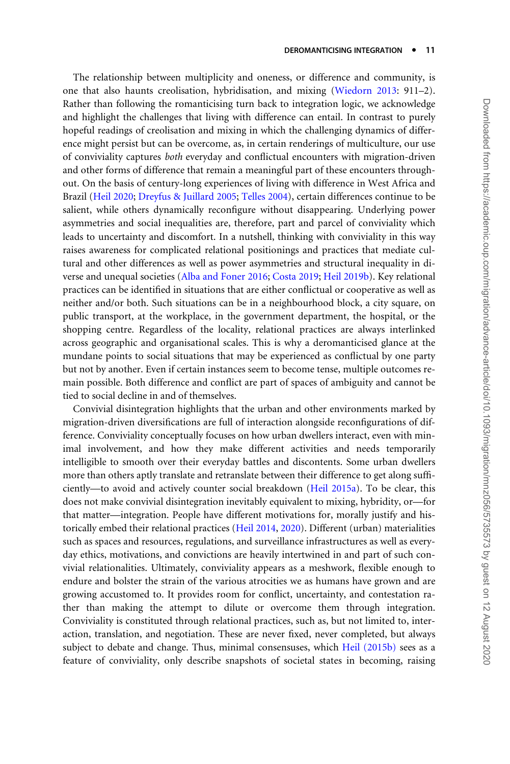The relationship between multiplicity and oneness, or difference and community, is one that also haunts creolisation, hybridisation, and mixing ([Wiedorn 2013](#page-18-0): 911–2). Rather than following the romanticising turn back to integration logic, we acknowledge and highlight the challenges that living with difference can entail. In contrast to purely hopeful readings of creolisation and mixing in which the challenging dynamics of difference might persist but can be overcome, as, in certain renderings of multiculture, our use of conviviality captures both everyday and conflictual encounters with migration-driven and other forms of difference that remain a meaningful part of these encounters throughout. On the basis of century-long experiences of living with difference in West Africa and Brazil ([Heil 2020;](#page-16-0) [Dreyfus & Juillard 2005](#page-15-0); [Telles 2004\)](#page-18-0), certain differences continue to be salient, while others dynamically reconfigure without disappearing. Underlying power asymmetries and social inequalities are, therefore, part and parcel of conviviality which leads to uncertainty and discomfort. In a nutshell, thinking with conviviality in this way raises awareness for complicated relational positionings and practices that mediate cultural and other differences as well as power asymmetries and structural inequality in diverse and unequal societies [\(Alba and Foner 2016](#page-14-0); [Costa 2019](#page-15-0); [Heil 2019b](#page-16-0)). Key relational practices can be identified in situations that are either conflictual or cooperative as well as neither and/or both. Such situations can be in a neighbourhood block, a city square, on public transport, at the workplace, in the government department, the hospital, or the shopping centre. Regardless of the locality, relational practices are always interlinked across geographic and organisational scales. This is why a deromanticised glance at the mundane points to social situations that may be experienced as conflictual by one party but not by another. Even if certain instances seem to become tense, multiple outcomes remain possible. Both difference and conflict are part of spaces of ambiguity and cannot be tied to social decline in and of themselves.

Convivial disintegration highlights that the urban and other environments marked by migration-driven diversifications are full of interaction alongside reconfigurations of difference. Conviviality conceptually focuses on how urban dwellers interact, even with minimal involvement, and how they make different activities and needs temporarily intelligible to smooth over their everyday battles and discontents. Some urban dwellers more than others aptly translate and retranslate between their difference to get along sufficiently—to avoid and actively counter social breakdown [\(Heil 2015a\)](#page-16-0). To be clear, this does not make convivial disintegration inevitably equivalent to mixing, hybridity, or—for that matter—integration. People have different motivations for, morally justify and historically embed their relational practices ([Heil 2014](#page-16-0), [2020\)](#page-16-0). Different (urban) materialities such as spaces and resources, regulations, and surveillance infrastructures as well as everyday ethics, motivations, and convictions are heavily intertwined in and part of such convivial relationalities. Ultimately, conviviality appears as a meshwork, flexible enough to endure and bolster the strain of the various atrocities we as humans have grown and are growing accustomed to. It provides room for conflict, uncertainty, and contestation rather than making the attempt to dilute or overcome them through integration. Conviviality is constituted through relational practices, such as, but not limited to, interaction, translation, and negotiation. These are never fixed, never completed, but always subject to debate and change. Thus, minimal consensuses, which [Heil \(2015b\)](#page-16-0) sees as a feature of conviviality, only describe snapshots of societal states in becoming, raising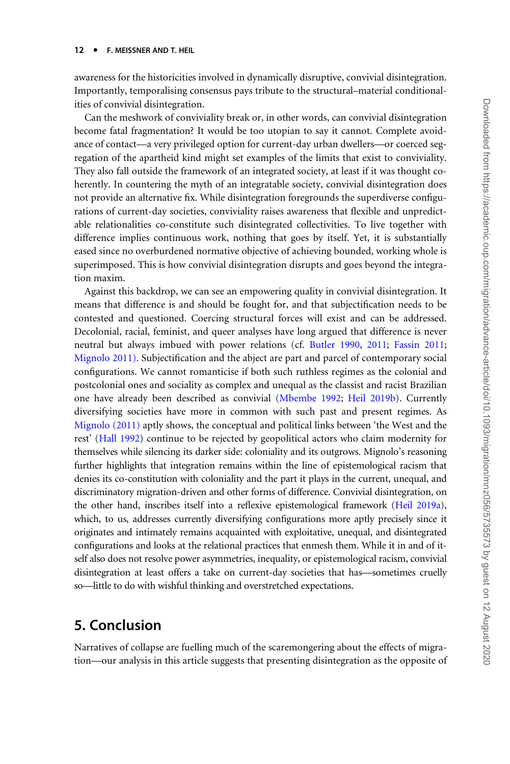#### $12 - 9$ F. MEISSNER AND T. HEIL

awareness for the historicities involved in dynamically disruptive, convivial disintegration. Importantly, temporalising consensus pays tribute to the structural–material conditionalities of convivial disintegration.

Can the meshwork of conviviality break or, in other words, can convivial disintegration become fatal fragmentation? It would be too utopian to say it cannot. Complete avoidance of contact—a very privileged option for current-day urban dwellers—or coerced segregation of the apartheid kind might set examples of the limits that exist to conviviality. They also fall outside the framework of an integrated society, at least if it was thought coherently. In countering the myth of an integratable society, convivial disintegration does not provide an alternative fix. While disintegration foregrounds the superdiverse configurations of current-day societies, conviviality raises awareness that flexible and unpredictable relationalities co-constitute such disintegrated collectivities. To live together with difference implies continuous work, nothing that goes by itself. Yet, it is substantially eased since no overburdened normative objective of achieving bounded, working whole is superimposed. This is how convivial disintegration disrupts and goes beyond the integration maxim.

Against this backdrop, we can see an empowering quality in convivial disintegration. It means that difference is and should be fought for, and that subjectification needs to be contested and questioned. Coercing structural forces will exist and can be addressed. Decolonial, racial, feminist, and queer analyses have long argued that difference is never neutral but always imbued with power relations (cf. [Butler 1990](#page-15-0), [2011;](#page-15-0) [Fassin 2011;](#page-15-0) [Mignolo 2011\)](#page-17-0). Subjectification and the abject are part and parcel of contemporary social configurations. We cannot romanticise if both such ruthless regimes as the colonial and postcolonial ones and sociality as complex and unequal as the classist and racist Brazilian one have already been described as convivial ([Mbembe 1992;](#page-17-0) [Heil 2019b](#page-16-0)). Currently diversifying societies have more in common with such past and present regimes. As [Mignolo \(2011\)](#page-17-0) aptly shows, the conceptual and political links between 'the West and the rest' ([Hall 1992](#page-16-0)) continue to be rejected by geopolitical actors who claim modernity for themselves while silencing its darker side: coloniality and its outgrows. Mignolo's reasoning further highlights that integration remains within the line of epistemological racism that denies its co-constitution with coloniality and the part it plays in the current, unequal, and discriminatory migration-driven and other forms of difference. Convivial disintegration, on the other hand, inscribes itself into a reflexive epistemological framework [\(Heil 2019a](#page-16-0)), which, to us, addresses currently diversifying configurations more aptly precisely since it originates and intimately remains acquainted with exploitative, unequal, and disintegrated configurations and looks at the relational practices that enmesh them. While it in and of itself also does not resolve power asymmetries, inequality, or epistemological racism, convivial disintegration at least offers a take on current-day societies that has—sometimes cruelly so—little to do with wishful thinking and overstretched expectations.

### 5. Conclusion

Narratives of collapse are fuelling much of the scaremongering about the effects of migration—our analysis in this article suggests that presenting disintegration as the opposite of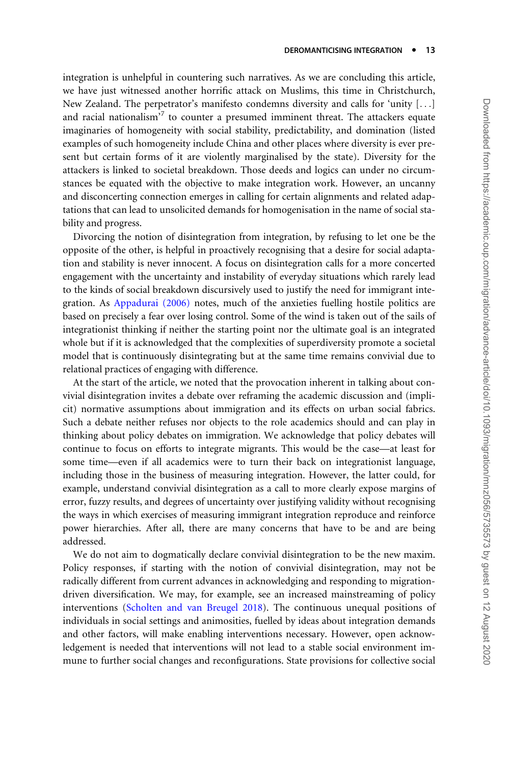integration is unhelpful in countering such narratives. As we are concluding this article, we have just witnessed another horrific attack on Muslims, this time in Christchurch, New Zealand. The perpetrator's manifesto condemns diversity and calls for 'unity [...] and racial nationalism<sup> $7$ </sup> to counter a presumed imminent threat. The attackers equate imaginaries of homogeneity with social stability, predictability, and domination (listed examples of such homogeneity include China and other places where diversity is ever present but certain forms of it are violently marginalised by the state). Diversity for the attackers is linked to societal breakdown. Those deeds and logics can under no circumstances be equated with the objective to make integration work. However, an uncanny and disconcerting connection emerges in calling for certain alignments and related adaptations that can lead to unsolicited demands for homogenisation in the name of social stability and progress.

Divorcing the notion of disintegration from integration, by refusing to let one be the opposite of the other, is helpful in proactively recognising that a desire for social adaptation and stability is never innocent. A focus on disintegration calls for a more concerted engagement with the uncertainty and instability of everyday situations which rarely lead to the kinds of social breakdown discursively used to justify the need for immigrant integration. As [Appadurai \(2006\)](#page-14-0) notes, much of the anxieties fuelling hostile politics are based on precisely a fear over losing control. Some of the wind is taken out of the sails of integrationist thinking if neither the starting point nor the ultimate goal is an integrated whole but if it is acknowledged that the complexities of superdiversity promote a societal model that is continuously disintegrating but at the same time remains convivial due to relational practices of engaging with difference.

At the start of the article, we noted that the provocation inherent in talking about convivial disintegration invites a debate over reframing the academic discussion and (implicit) normative assumptions about immigration and its effects on urban social fabrics. Such a debate neither refuses nor objects to the role academics should and can play in thinking about policy debates on immigration. We acknowledge that policy debates will continue to focus on efforts to integrate migrants. This would be the case—at least for some time—even if all academics were to turn their back on integrationist language, including those in the business of measuring integration. However, the latter could, for example, understand convivial disintegration as a call to more clearly expose margins of error, fuzzy results, and degrees of uncertainty over justifying validity without recognising the ways in which exercises of measuring immigrant integration reproduce and reinforce power hierarchies. After all, there are many concerns that have to be and are being addressed.

We do not aim to dogmatically declare convivial disintegration to be the new maxim. Policy responses, if starting with the notion of convivial disintegration, may not be radically different from current advances in acknowledging and responding to migrationdriven diversification. We may, for example, see an increased mainstreaming of policy interventions ([Scholten and van Breugel 2018\)](#page-18-0). The continuous unequal positions of individuals in social settings and animosities, fuelled by ideas about integration demands and other factors, will make enabling interventions necessary. However, open acknowledgement is needed that interventions will not lead to a stable social environment immune to further social changes and reconfigurations. State provisions for collective social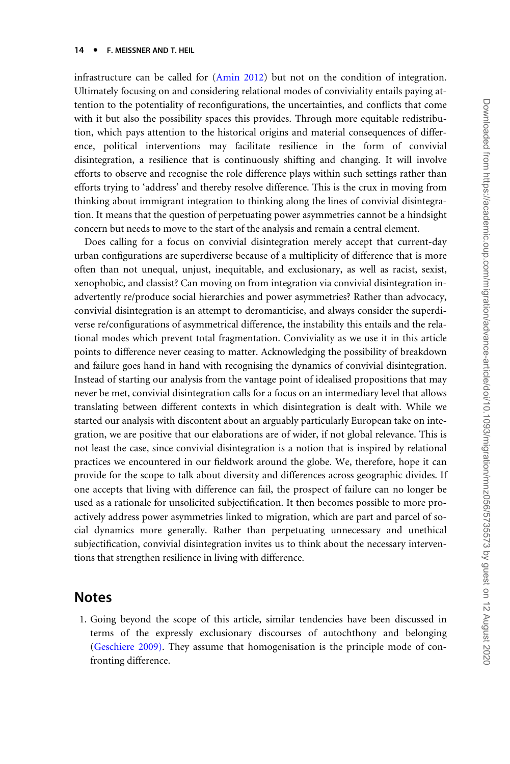#### $14 -$ F. MEISSNER AND T. HEIL

infrastructure can be called for ([Amin 2012\)](#page-14-0) but not on the condition of integration. Ultimately focusing on and considering relational modes of conviviality entails paying attention to the potentiality of reconfigurations, the uncertainties, and conflicts that come with it but also the possibility spaces this provides. Through more equitable redistribution, which pays attention to the historical origins and material consequences of difference, political interventions may facilitate resilience in the form of convivial disintegration, a resilience that is continuously shifting and changing. It will involve efforts to observe and recognise the role difference plays within such settings rather than efforts trying to 'address' and thereby resolve difference. This is the crux in moving from thinking about immigrant integration to thinking along the lines of convivial disintegration. It means that the question of perpetuating power asymmetries cannot be a hindsight concern but needs to move to the start of the analysis and remain a central element.

Does calling for a focus on convivial disintegration merely accept that current-day urban configurations are superdiverse because of a multiplicity of difference that is more often than not unequal, unjust, inequitable, and exclusionary, as well as racist, sexist, xenophobic, and classist? Can moving on from integration via convivial disintegration inadvertently re/produce social hierarchies and power asymmetries? Rather than advocacy, convivial disintegration is an attempt to deromanticise, and always consider the superdiverse re/configurations of asymmetrical difference, the instability this entails and the relational modes which prevent total fragmentation. Conviviality as we use it in this article points to difference never ceasing to matter. Acknowledging the possibility of breakdown and failure goes hand in hand with recognising the dynamics of convivial disintegration. Instead of starting our analysis from the vantage point of idealised propositions that may never be met, convivial disintegration calls for a focus on an intermediary level that allows translating between different contexts in which disintegration is dealt with. While we started our analysis with discontent about an arguably particularly European take on integration, we are positive that our elaborations are of wider, if not global relevance. This is not least the case, since convivial disintegration is a notion that is inspired by relational practices we encountered in our fieldwork around the globe. We, therefore, hope it can provide for the scope to talk about diversity and differences across geographic divides. If one accepts that living with difference can fail, the prospect of failure can no longer be used as a rationale for unsolicited subjectification. It then becomes possible to more proactively address power asymmetries linked to migration, which are part and parcel of social dynamics more generally. Rather than perpetuating unnecessary and unethical subjectification, convivial disintegration invites us to think about the necessary interventions that strengthen resilience in living with difference.

### Notes

1. Going beyond the scope of this article, similar tendencies have been discussed in terms of the expressly exclusionary discourses of autochthony and belonging ([Geschiere 2009\).](#page-16-0) They assume that homogenisation is the principle mode of confronting difference.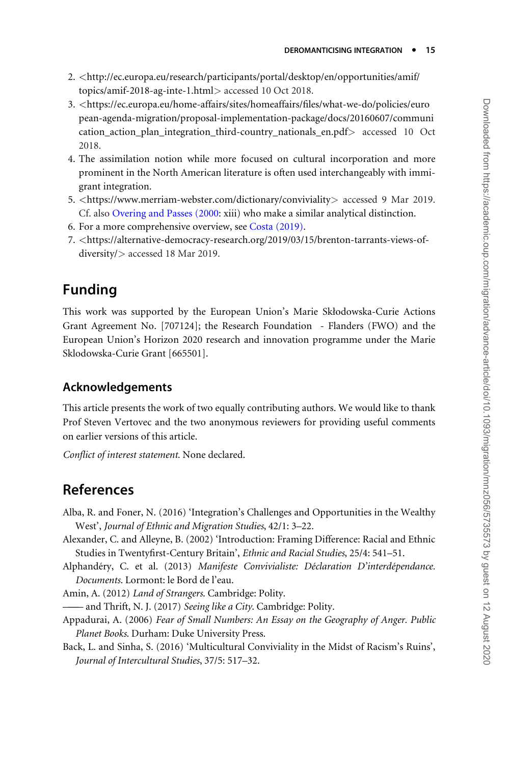- <span id="page-14-0"></span>2. <[http://ec.europa.eu/research/participants/portal/desktop/en/opportunities/amif/](http://ec.europa.eu/research/participants/portal/desktop/en/opportunities/amif/topics/amif-2018-ag-inte-1.html) [topics/amif-2018-ag-inte-1.html](http://ec.europa.eu/research/participants/portal/desktop/en/opportunities/amif/topics/amif-2018-ag-inte-1.html)> accessed 10 Oct 2018.
- 3. <[https://ec.europa.eu/home-affairs/sites/homeaffairs/files/what-we-do/policies/euro](https://ec.europa.eu/home-affairs/sites/homeaffairs/files/what-we-do/policies/european-agenda-migration/proposal-implementation-package/docs/20160607/communication_action_plan_integration_third-country_nationals_en.pdf) [pean-agenda-migration/proposal-implementation-package/docs/20160607/communi](https://ec.europa.eu/home-affairs/sites/homeaffairs/files/what-we-do/policies/european-agenda-migration/proposal-implementation-package/docs/20160607/communication_action_plan_integration_third-country_nationals_en.pdf) [cation\\_action\\_plan\\_integration\\_third-country\\_nationals\\_en.pdf](https://ec.europa.eu/home-affairs/sites/homeaffairs/files/what-we-do/policies/european-agenda-migration/proposal-implementation-package/docs/20160607/communication_action_plan_integration_third-country_nationals_en.pdf)> accessed 10 Oct 2018.
- 4. The assimilation notion while more focused on cultural incorporation and more prominent in the North American literature is often used interchangeably with immigrant integration.
- 5. <<https://www.merriam-webster.com/dictionary/conviviality>> accessed 9 Mar 2019. Cf. also [Overing and Passes \(2000:](#page-17-0) xiii) who make a similar analytical distinction.
- 6. For a more comprehensive overview, see [Costa \(2019\)](#page-15-0).
- 7. <[https://alternative-democracy-research.org/2019/03/15/brenton-tarrants-views-of](https://alternative-democracy-research.org/2019/03/15/brenton-tarrants-views-of-diversity/)[diversity/](https://alternative-democracy-research.org/2019/03/15/brenton-tarrants-views-of-diversity/)> accessed 18 Mar 2019.

# Funding

This work was supported by the European Union's Marie Skłodowska-Curie Actions Grant Agreement No. [707124]; the Research Foundation - Flanders (FWO) and the European Union's Horizon 2020 research and innovation programme under the Marie Sklodowska-Curie Grant [665501].

### Acknowledgements

This article presents the work of two equally contributing authors. We would like to thank Prof Steven Vertovec and the two anonymous reviewers for providing useful comments on earlier versions of this article.

Conflict of interest statement. None declared.

### References

- Alba, R. and Foner, N. (2016) 'Integration's Challenges and Opportunities in the Wealthy West', Journal of Ethnic and Migration Studies, 42/1: 3–22.
- Alexander, C. and Alleyne, B. (2002) 'Introduction: Framing Difference: Racial and Ethnic Studies in Twentyfirst-Century Britain', Ethnic and Racial Studies, 25/4: 541–51.
- Alphandéry, C. et al. (2013) Manifeste Convivialiste: Déclaration D'interdépendance. Documents. Lormont: le Bord de l'eau.
- Amin, A. (2012) Land of Strangers. Cambridge: Polity.
- and Thrift, N. J. (2017) Seeing like a City. Cambridge: Polity.
- Appadurai, A. (2006) Fear of Small Numbers: An Essay on the Geography of Anger. Public Planet Books. Durham: Duke University Press.
- Back, L. and Sinha, S. (2016) 'Multicultural Conviviality in the Midst of Racism's Ruins', Journal of Intercultural Studies, 37/5: 517–32.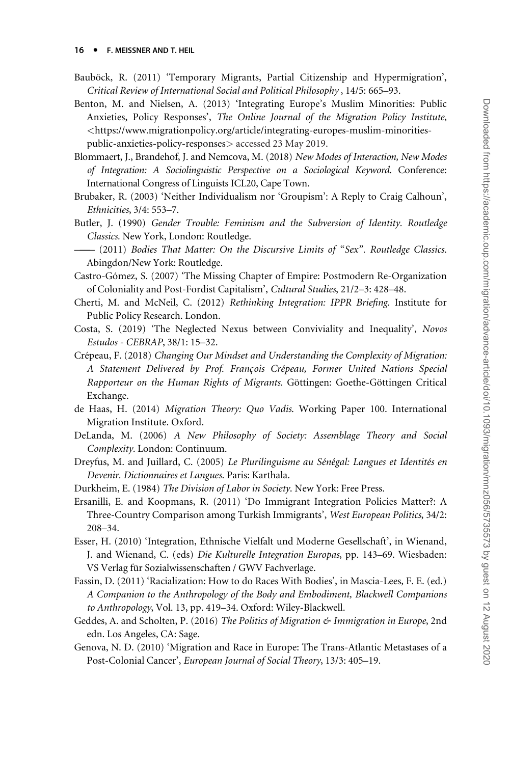- <span id="page-15-0"></span>Bauböck, R. (2011) 'Temporary Migrants, Partial Citizenship and Hypermigration', Critical Review of International Social and Political Philosophy , 14/5: 665–93.
- Benton, M. and Nielsen, A. (2013) 'Integrating Europe's Muslim Minorities: Public Anxieties, Policy Responses', The Online Journal of the Migration Policy Institute, <[https://www.migrationpolicy.org/article/integrating-europes-muslim-minorities](https://www.migrationpolicy.org/article/integrating-europes-muslim-minorities-public-anxieties-policy-responses)[public-anxieties-policy-responses](https://www.migrationpolicy.org/article/integrating-europes-muslim-minorities-public-anxieties-policy-responses)> accessed 23 May 2019.
- Blommaert, J., Brandehof, J. and Nemcova, M. (2018) New Modes of Interaction, New Modes of Integration: A Sociolinguistic Perspective on a Sociological Keyword. Conference: International Congress of Linguists ICL20, Cape Town.
- Brubaker, R. (2003) 'Neither Individualism nor 'Groupism': A Reply to Craig Calhoun', Ethnicities, 3/4: 553–7.
- Butler, J. (1990) Gender Trouble: Feminism and the Subversion of Identity. Routledge Classics. New York, London: Routledge.
- (2011) Bodies That Matter: On the Discursive Limits of "Sex". Routledge Classics. Abingdon/New York: Routledge.
- Castro-Gómez, S. (2007) 'The Missing Chapter of Empire: Postmodern Re-Organization of Coloniality and Post-Fordist Capitalism', Cultural Studies, 21/2–3: 428–48.
- Cherti, M. and McNeil, C. (2012) Rethinking Integration: IPPR Briefing. Institute for Public Policy Research. London.
- Costa, S. (2019) 'The Neglected Nexus between Conviviality and Inequality', Novos Estudos - CEBRAP, 38/1: 15–32.
- Crépeau, F. (2018) Changing Our Mindset and Understanding the Complexity of Migration: A Statement Delivered by Prof. François Crépeau, Former United Nations Special Rapporteur on the Human Rights of Migrants. Göttingen: Goethe-Göttingen Critical Exchange.
- de Haas, H. (2014) Migration Theory: Quo Vadis. Working Paper 100. International Migration Institute. Oxford.
- DeLanda, M. (2006) A New Philosophy of Society: Assemblage Theory and Social Complexity. London: Continuum.
- Dreyfus, M. and Juillard, C. (2005) Le Plurilinguisme au Sénégal: Langues et Identités en Devenir. Dictionnaires et Langues. Paris: Karthala.
- Durkheim, E. (1984) The Division of Labor in Society. New York: Free Press.
- Ersanilli, E. and Koopmans, R. (2011) 'Do Immigrant Integration Policies Matter?: A Three-Country Comparison among Turkish Immigrants', West European Politics, 34/2: 208–34.
- Esser, H. (2010) 'Integration, Ethnische Vielfalt und Moderne Gesellschaft', in Wienand, J. and Wienand, C. (eds) Die Kulturelle Integration Europas, pp. 143–69. Wiesbaden: VS Verlag für Sozialwissenschaften / GWV Fachverlage.
- Fassin, D. (2011) 'Racialization: How to do Races With Bodies', in Mascia-Lees, F. E. (ed.) A Companion to the Anthropology of the Body and Embodiment, Blackwell Companions to Anthropology, Vol. 13, pp. 419–34. Oxford: Wiley-Blackwell.
- Geddes, A. and Scholten, P. (2016) The Politics of Migration  $\mathfrak{G}$  Immigration in Europe, 2nd edn. Los Angeles, CA: Sage.
- Genova, N. D. (2010) 'Migration and Race in Europe: The Trans-Atlantic Metastases of a Post-Colonial Cancer', European Journal of Social Theory, 13/3: 405–19.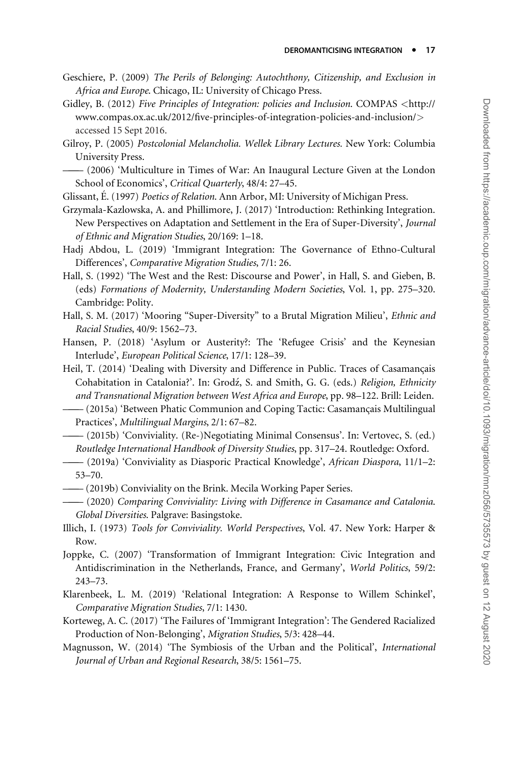- <span id="page-16-0"></span>Geschiere, P. (2009) The Perils of Belonging: Autochthony, Citizenship, and Exclusion in Africa and Europe. Chicago, IL: University of Chicago Press.
- Gidley, B. (2012) Five Principles of Integration: policies and Inclusion. COMPAS <[http://](http://www.compas.ox.ac.uk/2012/five-principles-of-integration-policies-and-inclusion/) [www.compas.ox.ac.uk/2012/five-principles-of-integration-policies-and-inclusion/](http://www.compas.ox.ac.uk/2012/five-principles-of-integration-policies-and-inclusion/)> accessed 15 Sept 2016.
- Gilroy, P. (2005) Postcolonial Melancholia. Wellek Library Lectures. New York: Columbia University Press.
- ——— (2006) 'Multiculture in Times of War: An Inaugural Lecture Given at the London School of Economics', Critical Quarterly, 48/4: 27–45.
- Glissant, É. (1997) Poetics of Relation. Ann Arbor, MI: University of Michigan Press.
- Grzymala-Kazlowska, A. and Phillimore, J. (2017) 'Introduction: Rethinking Integration. New Perspectives on Adaptation and Settlement in the Era of Super-Diversity', Journal of Ethnic and Migration Studies, 20/169: 1–18.
- Hadj Abdou, L. (2019) 'Immigrant Integration: The Governance of Ethno-Cultural Differences', Comparative Migration Studies, 7/1: 26.
- Hall, S. (1992) 'The West and the Rest: Discourse and Power', in Hall, S. and Gieben, B. (eds) Formations of Modernity, Understanding Modern Societies, Vol. 1, pp. 275–320. Cambridge: Polity.
- Hall, S. M. (2017) 'Mooring "Super-Diversity" to a Brutal Migration Milieu', Ethnic and Racial Studies, 40/9: 1562–73.
- Hansen, P. (2018) 'Asylum or Austerity?: The 'Refugee Crisis' and the Keynesian Interlude', European Political Science, 17/1: 128–39.
- Heil, T. (2014) 'Dealing with Diversity and Difference in Public. Traces of Casamancais Cohabitation in Catalonia?'. In: Grodź, S. and Smith, G. G. (eds.) Religion, Ethnicity and Transnational Migration between West Africa and Europe, pp. 98–122. Brill: Leiden.
- (2015a) 'Between Phatic Communion and Coping Tactic: Casamançais Multilingual Practices', Multilingual Margins, 2/1: 67–82.
- ——— (2015b) 'Conviviality. (Re-)Negotiating Minimal Consensus'. In: Vertovec, S. (ed.) Routledge International Handbook of Diversity Studies, pp. 317–24. Routledge: Oxford.
- ——— (2019a) 'Conviviality as Diasporic Practical Knowledge', African Diaspora, 11/1–2: 53–70.
- ——— (2019b) Conviviality on the Brink. Mecila Working Paper Series.
- ——— (2020) Comparing Conviviality: Living with Difference in Casamance and Catalonia. Global Diversities. Palgrave: Basingstoke.
- Illich, I. (1973) Tools for Conviviality. World Perspectives, Vol. 47. New York: Harper & Row.
- Joppke, C. (2007) 'Transformation of Immigrant Integration: Civic Integration and Antidiscrimination in the Netherlands, France, and Germany', World Politics, 59/2: 243–73.
- Klarenbeek, L. M. (2019) 'Relational Integration: A Response to Willem Schinkel', Comparative Migration Studies, 7/1: 1430.
- Korteweg, A. C. (2017) 'The Failures of 'Immigrant Integration': The Gendered Racialized Production of Non-Belonging', Migration Studies, 5/3: 428–44.
- Magnusson, W. (2014) 'The Symbiosis of the Urban and the Political', International Journal of Urban and Regional Research, 38/5: 1561–75.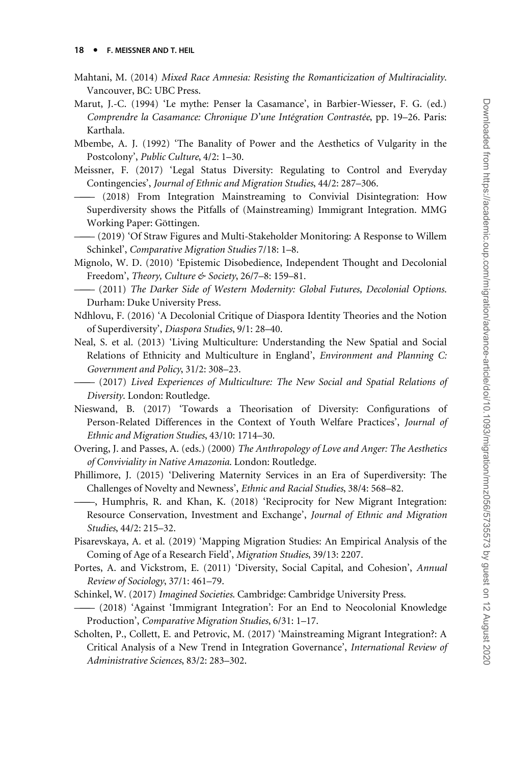- <span id="page-17-0"></span>Mahtani, M. (2014) Mixed Race Amnesia: Resisting the Romanticization of Multiraciality. Vancouver, BC: UBC Press.
- Marut, J.-C. (1994) 'Le mythe: Penser la Casamance', in Barbier-Wiesser, F. G. (ed.) Comprendre la Casamance: Chronique D'une Intégration Contrastée, pp. 19–26. Paris: Karthala.
- Mbembe, A. J. (1992) 'The Banality of Power and the Aesthetics of Vulgarity in the Postcolony', Public Culture, 4/2: 1–30.
- Meissner, F. (2017) 'Legal Status Diversity: Regulating to Control and Everyday Contingencies', Journal of Ethnic and Migration Studies, 44/2: 287–306.
- ——— (2018) From Integration Mainstreaming to Convivial Disintegration: How Superdiversity shows the Pitfalls of (Mainstreaming) Immigrant Integration. MMG Working Paper: Göttingen.
- ——— (2019) 'Of Straw Figures and Multi-Stakeholder Monitoring: A Response to Willem Schinkel', Comparative Migration Studies 7/18: 1–8.
- Mignolo, W. D. (2010) 'Epistemic Disobedience, Independent Thought and Decolonial Freedom', Theory, Culture & Society, 26/7-8: 159-81.
- ——— (2011) The Darker Side of Western Modernity: Global Futures, Decolonial Options. Durham: Duke University Press.
- Ndhlovu, F. (2016) 'A Decolonial Critique of Diaspora Identity Theories and the Notion of Superdiversity', Diaspora Studies, 9/1: 28–40.
- Neal, S. et al. (2013) 'Living Multiculture: Understanding the New Spatial and Social Relations of Ethnicity and Multiculture in England', Environment and Planning C: Government and Policy, 31/2: 308–23.
- $-$  (2017) Lived Experiences of Multiculture: The New Social and Spatial Relations of Diversity. London: Routledge.
- Nieswand, B. (2017) 'Towards a Theorisation of Diversity: Configurations of Person-Related Differences in the Context of Youth Welfare Practices', Journal of Ethnic and Migration Studies, 43/10: 1714–30.
- Overing, J. and Passes, A. (eds.) (2000) The Anthropology of Love and Anger: The Aesthetics of Conviviality in Native Amazonia. London: Routledge.
- Phillimore, J. (2015) 'Delivering Maternity Services in an Era of Superdiversity: The Challenges of Novelty and Newness', Ethnic and Racial Studies, 38/4: 568–82.
- ———, Humphris, R. and Khan, K. (2018) 'Reciprocity for New Migrant Integration: Resource Conservation, Investment and Exchange', Journal of Ethnic and Migration Studies, 44/2: 215–32.
- Pisarevskaya, A. et al. (2019) 'Mapping Migration Studies: An Empirical Analysis of the Coming of Age of a Research Field', Migration Studies, 39/13: 2207.
- Portes, A. and Vickstrom, E. (2011) 'Diversity, Social Capital, and Cohesion', Annual Review of Sociology, 37/1: 461–79.
- Schinkel, W. (2017) Imagined Societies. Cambridge: Cambridge University Press.
- ——— (2018) 'Against 'Immigrant Integration': For an End to Neocolonial Knowledge Production', Comparative Migration Studies, 6/31: 1–17.
- Scholten, P., Collett, E. and Petrovic, M. (2017) 'Mainstreaming Migrant Integration?: A Critical Analysis of a New Trend in Integration Governance', International Review of Administrative Sciences, 83/2: 283–302.